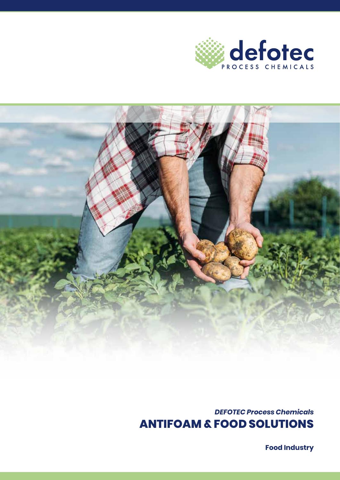



*DEFOTEC Process Chemicals* **ANTIFOAM & FOOD SOLUTIONS**

**Food Industry**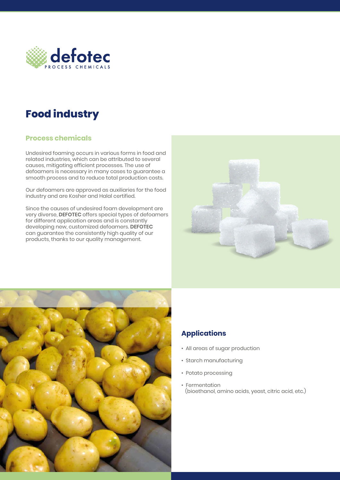

## **Food industry**

## **Process chemicals**

Undesired foaming occurs in various forms in food and related industries, which can be attributed to several causes, mitigating efficient processes. The use of defoamers is necessary in many cases to guarantee a smooth process and to reduce total production costs.

Our defoamers are approved as auxiliaries for the food industry and are Kosher and Halal certified.

Since the causes of undesired foam development are very diverse, **DEFOTEC** offers special types of defoamers for different application areas and is constantly developing new, customized defoamers. **DEFOTEC**  can guarantee the consistently high quality of our products, thanks to our quality management.





## **Applications**

- All areas of sugar production
- Starch manufacturing
- Potato processing
- Fermentation (bioethanol, amino acids, yeast, citric acid, etc.)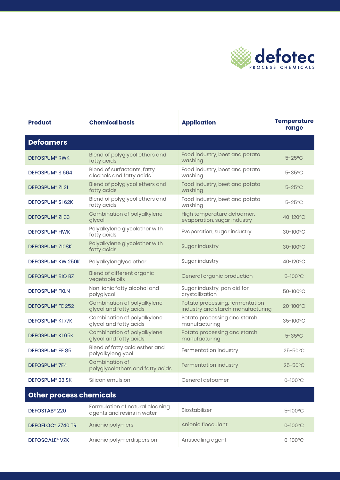

| <b>Product</b>                  | <b>Chemical basis</b>                                   | <b>Application</b>                                                   | <b>Temperature</b><br>range |  |
|---------------------------------|---------------------------------------------------------|----------------------------------------------------------------------|-----------------------------|--|
| <b>Defoamers</b>                |                                                         |                                                                      |                             |  |
| <b>DEFOSPUM® RWK</b>            | Blend of polyglycol ethers and<br>fatty acids           | Food industry, beet and potato<br>washing                            | $5 - 25$ °C                 |  |
| DEFOSPUM <sup>®</sup> S 664     | Blend of surfactants, fatty<br>alcohols and fatty acids | Food industry, beet and potato<br>washing                            | $5 - 35$ °C                 |  |
| <b>DEFOSPUM® ZI 21</b>          | Blend of polyglycol ethers and<br>fatty acids           | Food industry, beet and potato<br>washing                            | $5 - 25$ °C                 |  |
| <b>DEFOSPUM® SI 62K</b>         | Blend of polyglycol ethers and<br>fatty acids           | Food industry, beet and potato<br>washing                            | $5 - 25$ °C                 |  |
| DEFOSPUM <sup>®</sup> ZI 33     | Combination of polyalkylene<br>glycol                   | High temperature defoamer,<br>evaporation, sugar industry            | 40-120°C                    |  |
| <b>DEFOSPUM<sup>®</sup> HWK</b> | Polyalkylene glycolether with<br>fatty acids            | Evaporation, sugar industry                                          | 30-100°C                    |  |
| DEFOSPUM® ZI08K                 | Polyalkylene glycolether with<br>fatty acids            | Sugar industry                                                       | $30-100$ °C                 |  |
| DEFOSPUM <sup>®</sup> KW 250K   | Polyalkylenglycolether                                  | Sugar industry                                                       | 40-120°C                    |  |
| <b>DEFOSPUM® BIO BZ</b>         | Blend of different organic<br>vegetable oils            | General organic production                                           | $5 - 100^{\circ}$ C         |  |
| <b>DEFOSPUM® FKLN</b>           | Non-ionic fatty alcohol and<br>polyglycol               | Sugar industry, pan aid for<br>crystallization                       | 50-100°C                    |  |
| DEFOSPUM® FE 252                | Combination of polyalkylene<br>glycol and fatty acids   | Potato processing, fermentation<br>industry and starch manufacturing | 20-100°C                    |  |
| <b>DEFOSPUM® KI 77K</b>         | Combination of polyalkylene<br>glycol and fatty acids   | Potato processing and starch<br>manufacturing                        | 35-100°C                    |  |
| DEFOSPUM® KI 65K                | Combination of polyalkylene<br>glycol and fatty acids   | Potato processing and starch<br>manufacturing                        | $5 - 35$ °C                 |  |
| <b>DEFOSPUM® FE 85</b>          | Blend of fatty acid esther and<br>polyalkylenglycol     | Fermentation industry                                                | $25 - 50^{\circ}$ C         |  |
| DEFOSPUM <sup>®</sup> 7E4       | Combination of<br>polyglycolethers and fatty acids      | Fermentation industry                                                | $25 - 50^{\circ}$ C         |  |
| DEFOSPUM® 23 SK                 | Silicon emulsion                                        | General defoamer                                                     | $0 - 100^{\circ}$ C         |  |
| <b>Other process chemicals</b>  |                                                         |                                                                      |                             |  |
| DEFOSTAR <sup>®</sup> 220       | Formulation of natural cleaning                         | <b>Biostabilizer</b>                                                 | $5 - 100^{\circ}$ C         |  |

| DEFOSTAB <sup>®</sup> 220        | Formulation of natural cleaning<br>agents and resins in water | Biostabilizer      | $5 - 100^{\circ}$ C |
|----------------------------------|---------------------------------------------------------------|--------------------|---------------------|
| DEFOFLOC <sup>®</sup> 2740 TR    | Anionic polymers                                              | Anionic flocculant | $0 - 100^{\circ}C$  |
| <b>DEFOSCALE<sup>®</sup> VZK</b> | Anionic polymerdispersion                                     | Antiscaling agent  | $0 - 100^{\circ}$ C |